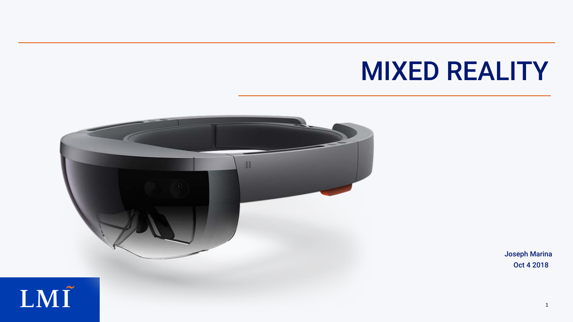



# MIXED REALITY

Oct 4 2018 Joseph Marina

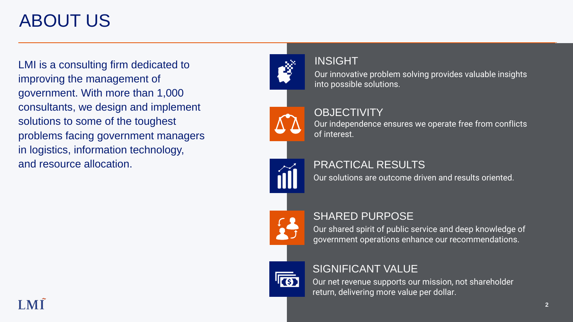## ABOUT US

Our innovative problem solving provides valuable insights into possible solutions.

## **OBJECTIVITY**

## INSIGHT

Our shared spirit of public service and deep knowledge of government operations enhance our recommendations.



## SHARED PURPOSE

Our net revenue supports our mission, not shareholder return, delivering more value per dollar.



## SIGNIFICANT VALUE

Our solutions are outcome driven and results oriented.



### PRACTICAL RESULTS

Our independence ensures we operate free from conflicts of interest.

LMI is a consulting firm dedicated to improving the management of government. With more than 1,000 consultants, we design and implement solutions to some of the toughest problems facing government managers in logistics, information technology, and resource allocation.

## LMÍ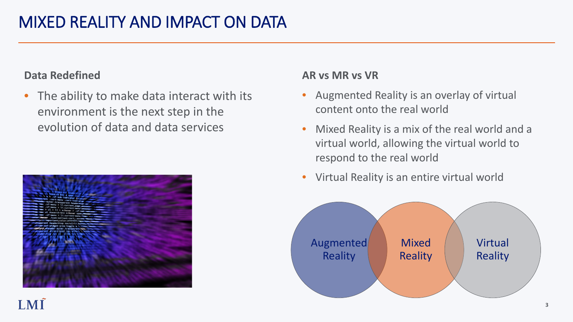### **Data Redefined**

• The ability to make data interact with its environment is the next step in the evolution of data and data services



## LMÍ



### **AR vs MR vs VR**

- Augmented Reality is an overlay of virtual content onto the real world
- Mixed Reality is a mix of the real world and a virtual world, allowing the virtual world to respond to the real world
- Virtual Reality is an entire virtual world



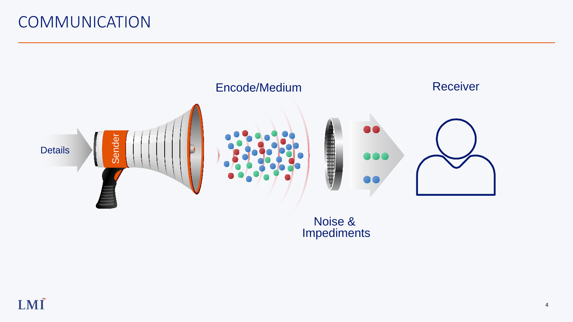## **COMMUNICATION**



## LMÍ

#### Noise & Impediments

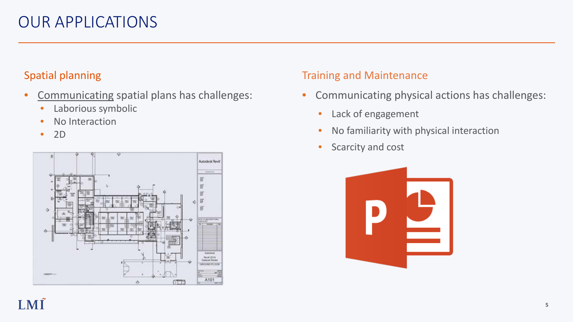- Communicating spatial plans has challenges:
	- Laborious symbolic
	- No Interaction
	- 2D

## Spatial planning



## LMÍ

### Training and Maintenance

- Communicating physical actions has challenges:
	- Lack of engagement
	- No familiarity with physical interaction
	- Scarcity and cost



## OUR APPLICATIONS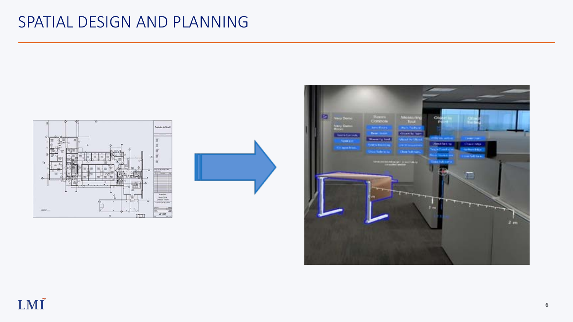

## SPATIAL DESIGN AND PLANNING





## LMÍ

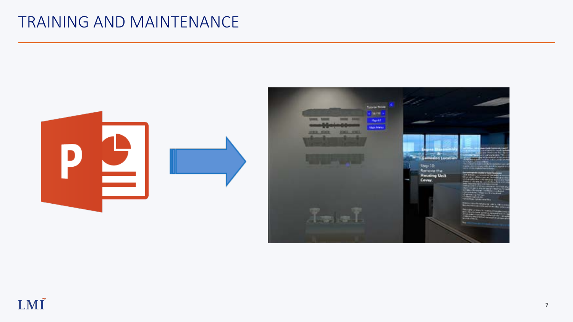## TRAINING AND MAINTENANCE